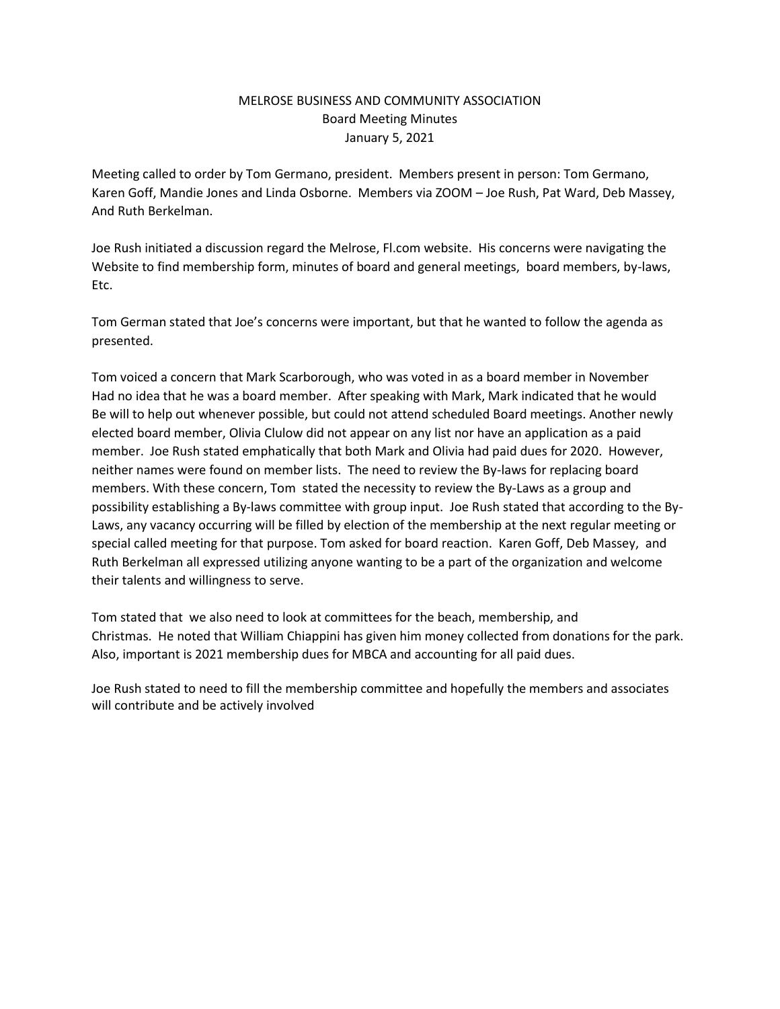## MELROSE BUSINESS AND COMMUNITY ASSOCIATION Board Meeting Minutes January 5, 2021

Meeting called to order by Tom Germano, president. Members present in person: Tom Germano, Karen Goff, Mandie Jones and Linda Osborne. Members via ZOOM – Joe Rush, Pat Ward, Deb Massey, And Ruth Berkelman.

Joe Rush initiated a discussion regard the Melrose, Fl.com website. His concerns were navigating the Website to find membership form, minutes of board and general meetings, board members, by-laws, Etc.

Tom German stated that Joe's concerns were important, but that he wanted to follow the agenda as presented.

Tom voiced a concern that Mark Scarborough, who was voted in as a board member in November Had no idea that he was a board member. After speaking with Mark, Mark indicated that he would Be will to help out whenever possible, but could not attend scheduled Board meetings. Another newly elected board member, Olivia Clulow did not appear on any list nor have an application as a paid member. Joe Rush stated emphatically that both Mark and Olivia had paid dues for 2020. However, neither names were found on member lists. The need to review the By-laws for replacing board members. With these concern, Tom stated the necessity to review the By-Laws as a group and possibility establishing a By-laws committee with group input. Joe Rush stated that according to the By-Laws, any vacancy occurring will be filled by election of the membership at the next regular meeting or special called meeting for that purpose. Tom asked for board reaction. Karen Goff, Deb Massey, and Ruth Berkelman all expressed utilizing anyone wanting to be a part of the organization and welcome their talents and willingness to serve.

Tom stated that we also need to look at committees for the beach, membership, and Christmas. He noted that William Chiappini has given him money collected from donations for the park. Also, important is 2021 membership dues for MBCA and accounting for all paid dues.

Joe Rush stated to need to fill the membership committee and hopefully the members and associates will contribute and be actively involved